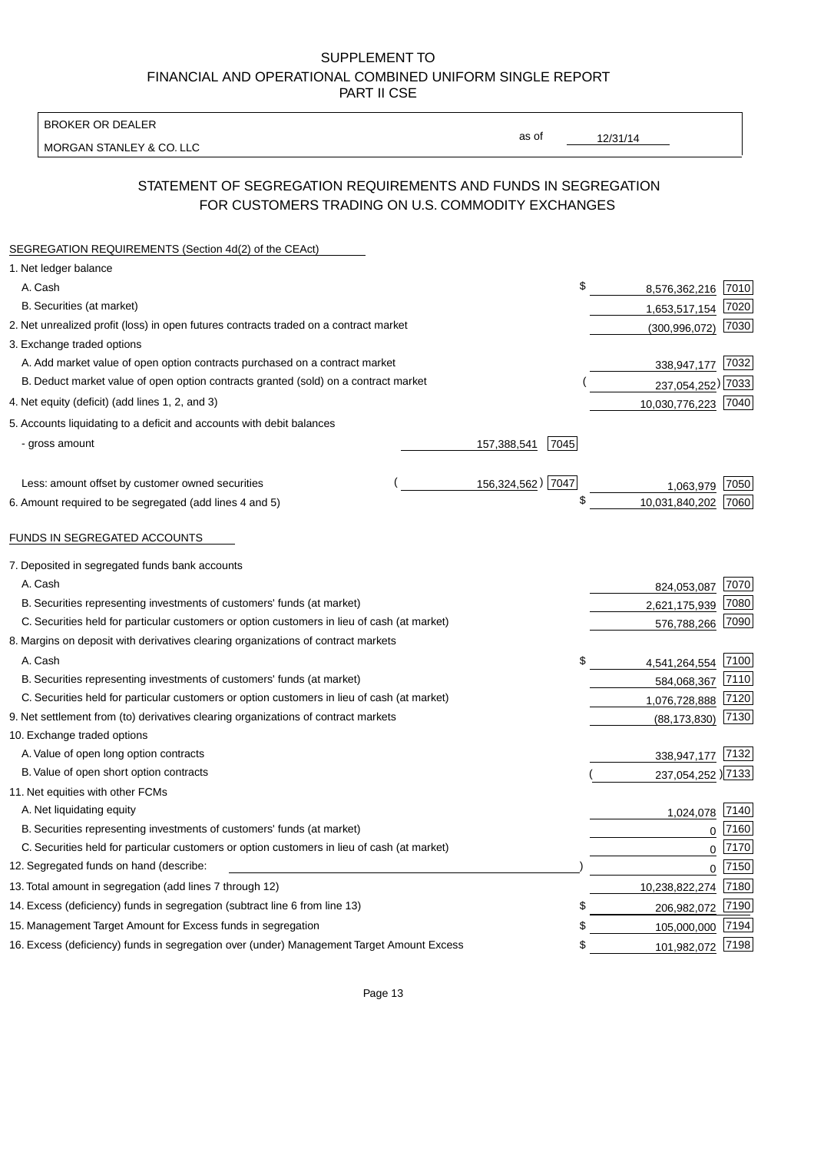BROKER OR DEALER

MORGAN STANLEY & CO. LLC

12/31/14

as of

# STATEMENT OF SEGREGATION REQUIREMENTS AND FUNDS IN SEGREGATION FOR CUSTOMERS TRADING ON U.S. COMMODITY EXCHANGES

| SEGREGATION REQUIREMENTS (Section 4d(2) of the CEAct)                                       |                   |      |                    |      |
|---------------------------------------------------------------------------------------------|-------------------|------|--------------------|------|
| 1. Net ledger balance                                                                       |                   |      |                    |      |
| A. Cash                                                                                     |                   | \$   | 8,576,362,216 7010 |      |
| B. Securities (at market)                                                                   |                   |      | 1,653,517,154      | 7020 |
| 2. Net unrealized profit (loss) in open futures contracts traded on a contract market       |                   |      | (300, 996, 072)    | 7030 |
| 3. Exchange traded options                                                                  |                   |      |                    |      |
| A. Add market value of open option contracts purchased on a contract market                 |                   |      | 338,947,177 7032   |      |
| B. Deduct market value of open option contracts granted (sold) on a contract market         |                   |      | 237,054,252) 7033  |      |
| 4. Net equity (deficit) (add lines 1, 2, and 3)                                             |                   |      | 10,030,776,223     | 7040 |
| 5. Accounts liquidating to a deficit and accounts with debit balances                       |                   |      |                    |      |
| - gross amount                                                                              | 157,388,541       | 7045 |                    |      |
|                                                                                             |                   |      |                    |      |
| Less: amount offset by customer owned securities                                            | 156,324,562) 7047 |      | 1,063,979          | 7050 |
| 6. Amount required to be segregated (add lines 4 and 5)                                     |                   | \$   | 10,031,840,202     | 7060 |
| FUNDS IN SEGREGATED ACCOUNTS                                                                |                   |      |                    |      |
| 7. Deposited in segregated funds bank accounts                                              |                   |      |                    |      |
| A. Cash                                                                                     |                   |      | 824,053,087        | 7070 |
| B. Securities representing investments of customers' funds (at market)                      |                   |      | 2,621,175,939      | 7080 |
| C. Securities held for particular customers or option customers in lieu of cash (at market) |                   |      | 576,788,266        | 7090 |
| 8. Margins on deposit with derivatives clearing organizations of contract markets           |                   |      |                    |      |
| A. Cash                                                                                     |                   | \$   | 4,541,264,554      | 7100 |
| B. Securities representing investments of customers' funds (at market)                      |                   |      | 584,068,367        | 7110 |
| C. Securities held for particular customers or option customers in lieu of cash (at market) |                   |      | 1,076,728,888      | 7120 |
| 9. Net settlement from (to) derivatives clearing organizations of contract markets          |                   |      | (88, 173, 830)     | 7130 |
| 10. Exchange traded options                                                                 |                   |      |                    |      |
| A. Value of open long option contracts                                                      |                   |      | 338,947,177        | 7132 |
| B. Value of open short option contracts                                                     |                   |      | 237,054,252 )7133  |      |
| 11. Net equities with other FCMs                                                            |                   |      |                    |      |
| A. Net liquidating equity                                                                   |                   |      | 1,024,078          | 7140 |
| B. Securities representing investments of customers' funds (at market)                      |                   |      | $\mathbf 0$        | 7160 |
| C. Securities held for particular customers or option customers in lieu of cash (at market) |                   |      | 0                  | 7170 |
| 12. Segregated funds on hand (describe:                                                     |                   |      | $\mathbf 0$        | 7150 |
| 13. Total amount in segregation (add lines 7 through 12)                                    |                   |      | 10,238,822,274     | 7180 |
| 14. Excess (deficiency) funds in segregation (subtract line 6 from line 13)                 |                   | S    | 206,982,072 7190   |      |
| 15. Management Target Amount for Excess funds in segregation                                |                   | \$   | 105,000,000        | 7194 |
| 16. Excess (deficiency) funds in segregation over (under) Management Target Amount Excess   |                   | \$   | 101,982,072        | 7198 |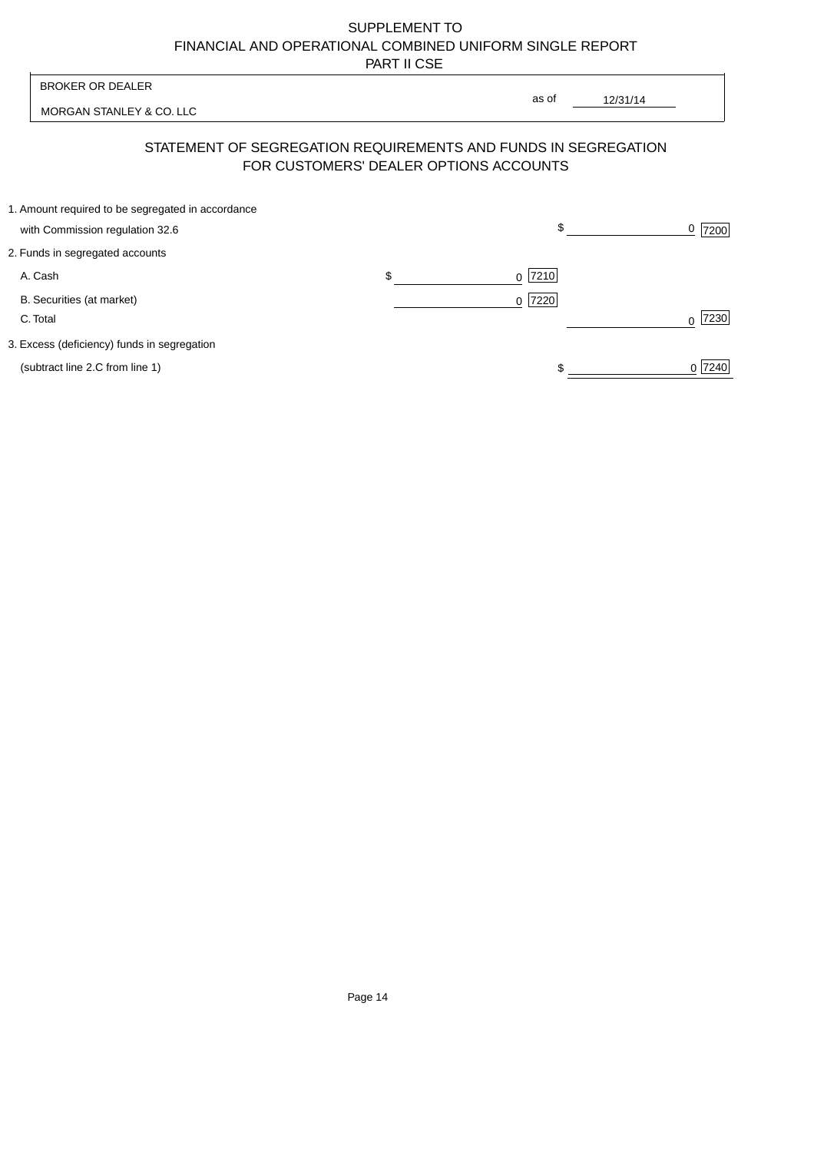| as of<br>12/31/14<br>MORGAN STANLEY & CO. LLC                                                            |        |
|----------------------------------------------------------------------------------------------------------|--------|
| STATEMENT OF SEGREGATION REQUIREMENTS AND FUNDS IN SEGREGATION<br>FOR CUSTOMERS' DEALER OPTIONS ACCOUNTS |        |
| 1. Amount required to be segregated in accordance<br>\$<br>with Commission regulation 32.6               | 7200   |
| 2. Funds in segregated accounts                                                                          |        |
| \$<br>A. Cash<br>$0$  7210                                                                               |        |
| B. Securities (at market)<br>$0$  7220 <br>C. Total                                                      | 7230   |
| 3. Excess (deficiency) funds in segregation                                                              |        |
| (subtract line 2.C from line 1)                                                                          | 0 7240 |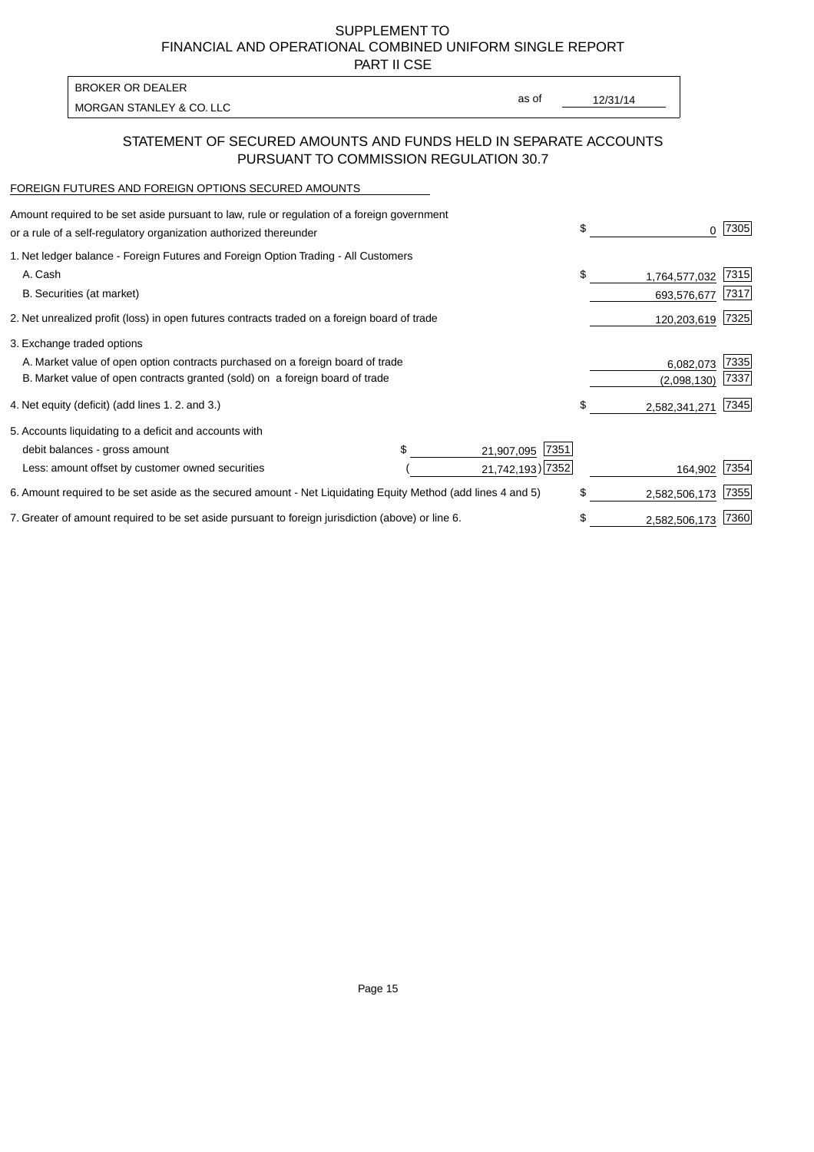PART II CSE

| BROKER OR DEALER         |       |          |
|--------------------------|-------|----------|
| MORGAN STANLEY & CO. LLC | as of | 12/31/14 |
|                          |       |          |

### STATEMENT OF SECURED AMOUNTS AND FUNDS HELD IN SEPARATE ACCOUNTS PURSUANT TO COMMISSION REGULATION 30.7

#### FOREIGN FUTURES AND FOREIGN OPTIONS SECURED AMOUNTS

| Amount required to be set aside pursuant to law, rule or regulation of a foreign government<br>or a rule of a self-regulatory organization authorized thereunder |  |                     | \$                  | 7305 |
|------------------------------------------------------------------------------------------------------------------------------------------------------------------|--|---------------------|---------------------|------|
| 1. Net ledger balance - Foreign Futures and Foreign Option Trading - All Customers                                                                               |  |                     |                     |      |
| A. Cash                                                                                                                                                          |  |                     | \$<br>1,764,577,032 | 7315 |
| B. Securities (at market)                                                                                                                                        |  |                     | 693,576,677         | 7317 |
| 2. Net unrealized profit (loss) in open futures contracts traded on a foreign board of trade                                                                     |  |                     | 120,203,619         | 7325 |
| 3. Exchange traded options                                                                                                                                       |  |                     |                     |      |
| A. Market value of open option contracts purchased on a foreign board of trade                                                                                   |  | 6,082,073           | 7335                |      |
| B. Market value of open contracts granted (sold) on a foreign board of trade                                                                                     |  |                     | (2,098,130)         | 7337 |
| 4. Net equity (deficit) (add lines 1.2. and 3.)                                                                                                                  |  |                     | \$<br>2,582,341,271 | 7345 |
| 5. Accounts liquidating to a deficit and accounts with                                                                                                           |  |                     |                     |      |
| debit balances - gross amount                                                                                                                                    |  | 7351<br>21,907,095  |                     |      |
| Less: amount offset by customer owned securities                                                                                                                 |  | 21,742,193) 7352    | 164,902             | 7354 |
| 6. Amount required to be set aside as the secured amount - Net Liquidating Equity Method (add lines 4 and 5)                                                     |  |                     | \$<br>2,582,506,173 | 7355 |
| 7. Greater of amount required to be set aside pursuant to foreign jurisdiction (above) or line 6.                                                                |  | \$<br>2,582,506,173 | 7360                |      |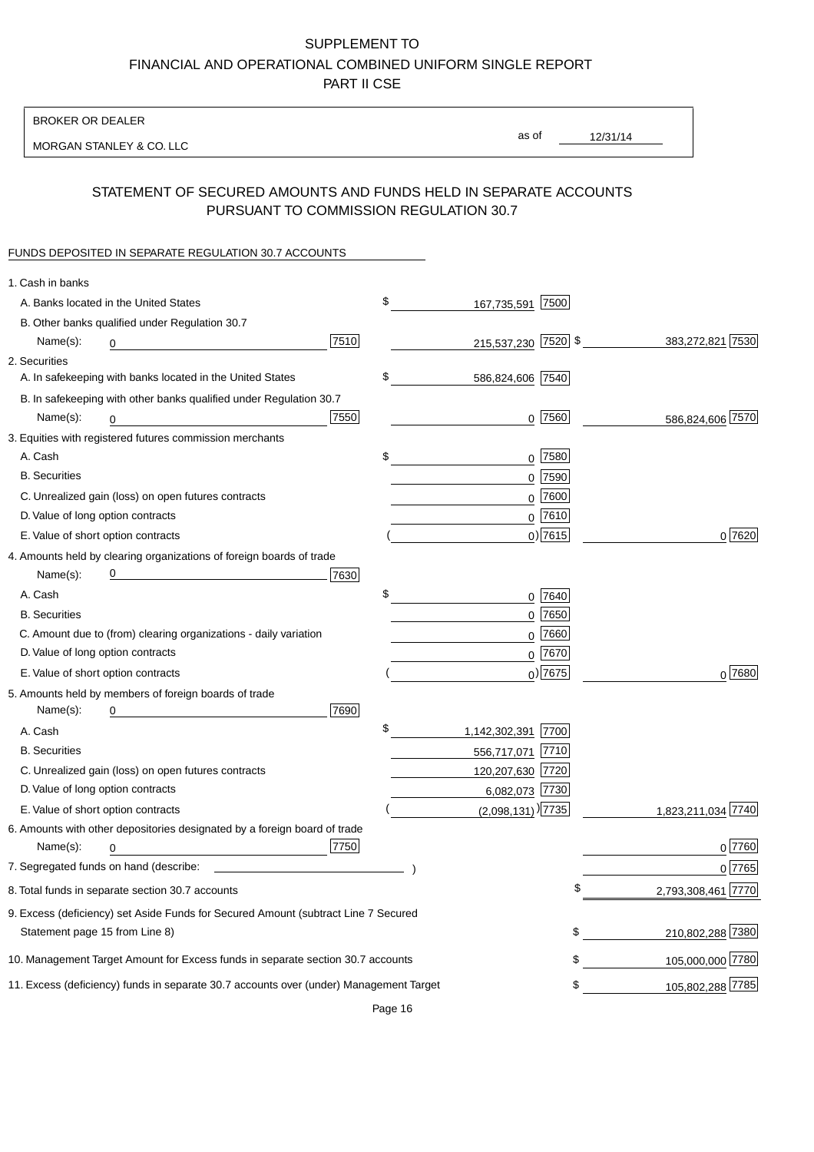BROKER OR DEALER

MORGAN STANLEY & CO. LLC

12/31/14 as of

## STATEMENT OF SECURED AMOUNTS AND FUNDS HELD IN SEPARATE ACCOUNTS PURSUANT TO COMMISSION REGULATION 30.7

### FUNDS DEPOSITED IN SEPARATE REGULATION 30.7 ACCOUNTS

| 1. Cash in banks                                                                                                                         |                          |      |                    |
|------------------------------------------------------------------------------------------------------------------------------------------|--------------------------|------|--------------------|
| A. Banks located in the United States                                                                                                    | \$<br>167,735,591        | 7500 |                    |
| B. Other banks qualified under Regulation 30.7                                                                                           |                          |      |                    |
| 7510<br>Name(s):<br>0                                                                                                                    | 215,537,230 7520 \$      |      | 383,272,821 7530   |
| 2. Securities                                                                                                                            |                          |      |                    |
| A. In safekeeping with banks located in the United States                                                                                | \$<br>586,824,606 7540   |      |                    |
| B. In safekeeping with other banks qualified under Regulation 30.7                                                                       |                          |      |                    |
| 7550<br>Name(s):<br>0                                                                                                                    | $0$ 7560                 |      | 586,824,606 7570   |
| 3. Equities with registered futures commission merchants                                                                                 |                          |      |                    |
| A. Cash                                                                                                                                  | \$<br>$0$ 7580           |      |                    |
| <b>B.</b> Securities                                                                                                                     | $0$ 7590                 |      |                    |
| C. Unrealized gain (loss) on open futures contracts                                                                                      | $0$ 7600                 |      |                    |
| D. Value of long option contracts                                                                                                        | $0$ 7610                 |      |                    |
| E. Value of short option contracts                                                                                                       | $0$ ) 7615               |      | 0 7620             |
| 4. Amounts held by clearing organizations of foreign boards of trade                                                                     |                          |      |                    |
| <u> 1989 - Johann Barn, mars eta bat erroman erroman erroman erroman erroman erroman erroman erroman erroman err</u><br>7630<br>Name(s): |                          |      |                    |
| A. Cash                                                                                                                                  | \$<br>0 7640             |      |                    |
| <b>B.</b> Securities                                                                                                                     | $0$ 7650                 |      |                    |
| C. Amount due to (from) clearing organizations - daily variation                                                                         | $0$ 7660                 |      |                    |
| D. Value of long option contracts                                                                                                        | $0^{7670}$               |      |                    |
| E. Value of short option contracts                                                                                                       | $_0$ ) 7675              |      | $0^{7680}$         |
| 5. Amounts held by members of foreign boards of trade                                                                                    |                          |      |                    |
| 7690<br>Name(s):<br>0                                                                                                                    |                          |      |                    |
| A. Cash                                                                                                                                  | \$<br>1,142,302,391 7700 |      |                    |
| <b>B.</b> Securities                                                                                                                     | 556,717,071 7710         |      |                    |
| C. Unrealized gain (loss) on open futures contracts                                                                                      | 120,207,630 7720         |      |                    |
| D. Value of long option contracts                                                                                                        | 6,082,073 7730           |      |                    |
| E. Value of short option contracts                                                                                                       | $(2,098,131)$ 7735       |      | 1,823,211,034 7740 |
| 6. Amounts with other depositories designated by a foreign board of trade                                                                |                          |      |                    |
| 7750<br>Name(s):<br>0                                                                                                                    |                          |      | 0 7760             |
|                                                                                                                                          |                          |      | 0 7765             |
| 8. Total funds in separate section 30.7 accounts                                                                                         |                          | \$   | 2,793,308,461 7770 |
| 9. Excess (deficiency) set Aside Funds for Secured Amount (subtract Line 7 Secured                                                       |                          |      |                    |
| Statement page 15 from Line 8)                                                                                                           |                          | \$   | 210,802,288 7380   |
| 10. Management Target Amount for Excess funds in separate section 30.7 accounts                                                          |                          | \$   | 105,000,000 7780   |
| 11. Excess (deficiency) funds in separate 30.7 accounts over (under) Management Target                                                   |                          | \$   | 105,802,288 7785   |